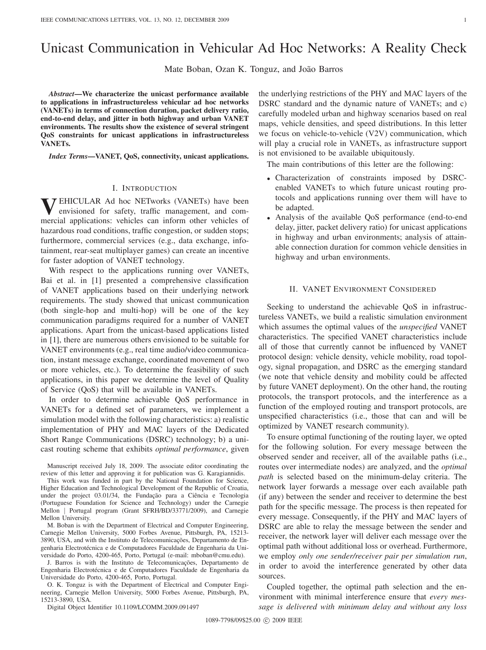# Unicast Communication in Vehicular Ad Hoc Networks: A Reality Check

Mate Boban, Ozan K. Tonguz, and João Barros

*Abstract***—We characterize the unicast performance available to applications in infrastructureless vehicular ad hoc networks (VANETs) in terms of connection duration, packet delivery ratio, end-to-end delay, and jitter in both highway and urban VANET environments. The results show the existence of several stringent QoS constraints for unicast applications in infrastructureless VANETs.**

*Index Terms***—VANET, QoS, connectivity, unicast applications.**

## I. INTRODUCTION

**T** EHICULAR Ad hoc NETworks (VANETs) have been envisioned for safety, traffic management, and commercial applications: vehicles can inform other vehicles of hazardous road conditions, traffic congestion, or sudden stops; furthermore, commercial services (e.g., data exchange, infotainment, rear-seat multiplayer games) can create an incentive for faster adoption of VANET technology.

With respect to the applications running over VANETs, Bai et al. in [1] presented a comprehensive classification of VANET applications based on their underlying network requirements. The study showed that unicast communication (both single-hop and multi-hop) will be one of the key communication paradigms required for a number of VANET applications. Apart from the unicast-based applications listed in [1], there are numerous others envisioned to be suitable for VANET environments (e.g., real time audio/video communication, instant message exchange, coordinated movement of two or more vehicles, etc.). To determine the feasibility of such applications, in this paper we determine the level of Quality of Service (QoS) that will be available in VANETs.

In order to determine achievable QoS performance in VANETs for a defined set of parameters, we implement a simulation model with the following characteristics: a) realistic implementation of PHY and MAC layers of the Dedicated Short Range Communications (DSRC) technology; b) a unicast routing scheme that exhibits *optimal performance*, given

M. Boban is with the Department of Electrical and Computer Engineering, Carnegie Mellon University, 5000 Forbes Avenue, Pittsburgh, PA, 15213- 3890, USA, and with the Instituto de Telecomunicações, Departamento de Engenharia Electrotécnica e de Computadores Faculdade de Engenharia da Universidade do Porto, 4200-465, Porto, Portugal (e-mail: mboban@cmu.edu).

J. Barros is with the Instituto de Telecomunicações, Departamento de Engenharia Electrotécnica e de Computadores Faculdade de Engenharia da Universidade do Porto, 4200-465, Porto, Portugal.

O. K. Tonguz is with the Department of Electrical and Computer Engineering, Carnegie Mellon University, 5000 Forbes Avenue, Pittsburgh, PA, 15213-3890, USA. Digital Object Identifier 10.1109/LCOMM.2009.091497

the underlying restrictions of the PHY and MAC layers of the DSRC standard and the dynamic nature of VANETs; and c) carefully modeled urban and highway scenarios based on real maps, vehicle densities, and speed distributions. In this letter we focus on vehicle-to-vehicle (V2V) communication, which will play a crucial role in VANETs, as infrastructure support is not envisioned to be available ubiquitously.

The main contributions of this letter are the following:

- <sup>∙</sup> Characterization of constraints imposed by DSRCenabled VANETs to which future unicast routing protocols and applications running over them will have to be adapted.
- <sup>∙</sup> Analysis of the available QoS performance (end-to-end delay, jitter, packet delivery ratio) for unicast applications in highway and urban environments; analysis of attainable connection duration for common vehicle densities in highway and urban environments.

#### II. VANET ENVIRONMENT CONSIDERED

Seeking to understand the achievable QoS in infrastructureless VANETs, we build a realistic simulation environment which assumes the optimal values of the *unspecified* VANET characteristics. The specified VANET characteristics include all of those that currently cannot be influenced by VANET protocol design: vehicle density, vehicle mobility, road topology, signal propagation, and DSRC as the emerging standard (we note that vehicle density and mobility could be affected by future VANET deployment). On the other hand, the routing protocols, the transport protocols, and the interference as a function of the employed routing and transport protocols, are unspecified characteristics (i.e., those that can and will be optimized by VANET research community).

To ensure optimal functioning of the routing layer, we opted for the following solution. For every message between the observed sender and receiver, all of the available paths (i.e., routes over intermediate nodes) are analyzed, and the *optimal path* is selected based on the minimum-delay criteria. The network layer forwards a message over each available path (if any) between the sender and receiver to determine the best path for the specific message. The process is then repeated for every message. Consequently, if the PHY and MAC layers of DSRC are able to relay the message between the sender and receiver, the network layer will deliver each message over the optimal path without additional loss or overhead. Furthermore, we employ *only one sender/receiver pair per simulation run*, in order to avoid the interference generated by other data sources.

Coupled together, the optimal path selection and the environment with minimal interference ensure that *every message is delivered with minimum delay and without any loss*

Manuscript received July 18, 2009. The associate editor coordinating the review of this letter and approving it for publication was G. Karagiannidis.

This work was funded in part by the National Foundation for Science, Higher Education and Technological Development of the Republic of Croatia, under the project 03.01/34, the Fundação para a Ciência e Tecnologia (Portuguese Foundation for Science and Technology) under the Carnegie Mellon ∣ Portugal program (Grant SFRH/BD/33771/2009), and Carnegie Mellon University.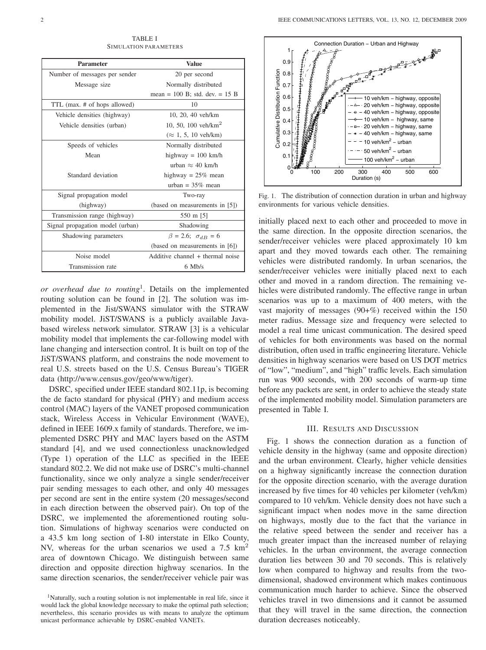TABLE I SIMULATION PARAMETERS

| <b>Parameter</b>                 | <b>Value</b>                        |
|----------------------------------|-------------------------------------|
| Number of messages per sender    | 20 per second                       |
| Message size                     | Normally distributed                |
|                                  | mean = $100 B$ ; std. dev. = $15 B$ |
| TTL (max. # of hops allowed)     | 10                                  |
| Vehicle densities (highway)      | 10, 20, 40 veh/km                   |
| Vehicle densities (urban)        | 10, 50, 100 veh/km <sup>2</sup>     |
|                                  | $(\approx 1, 5, 10 \text{ veh/km})$ |
| Speeds of vehicles               | Normally distributed                |
| Mean                             | highway $= 100$ km/h                |
|                                  | urban $\approx$ 40 km/h             |
| Standard deviation               | highway = $25\%$ mean               |
|                                  | urban = $35\%$ mean                 |
| Signal propagation model         | Two-ray                             |
| (highway)                        | (based on measurements in [5])      |
| Transmission range (highway)     | 550 m $[5]$                         |
| Signal propagation model (urban) | Shadowing                           |
| Shadowing parameters             | $\beta = 2.6; \ \sigma_{dB} = 6$    |
|                                  | (based on measurements in [6])      |
| Noise model                      | Additive channel $+$ thermal noise  |
| Transmission rate                | $6$ Mb/s                            |

*or overhead due to routing*1. Details on the implemented routing solution can be found in [2]. The solution was implemented in the Jist/SWANS simulator with the STRAW mobility model. JiST/SWANS is a publicly available Javabased wireless network simulator. STRAW [3] is a vehicular mobility model that implements the car-following model with lane changing and intersection control. It is built on top of the JiST/SWANS platform, and constrains the node movement to real U.S. streets based on the U.S. Census Bureau's TIGER data (http://www.census.gov/geo/www/tiger).

DSRC, specified under IEEE standard 802.11p, is becoming the de facto standard for physical (PHY) and medium access control (MAC) layers of the VANET proposed communication stack, Wireless Access in Vehicular Environment (WAVE), defined in IEEE 1609.x family of standards. Therefore, we implemented DSRC PHY and MAC layers based on the ASTM standard [4], and we used connectionless unacknowledged (Type 1) operation of the LLC as specified in the IEEE standard 802.2. We did not make use of DSRC's multi-channel functionality, since we only analyze a single sender/receiver pair sending messages to each other, and only 40 messages per second are sent in the entire system (20 messages/second in each direction between the observed pair). On top of the DSRC, we implemented the aforementioned routing solution. Simulations of highway scenarios were conducted on a 43.5 km long section of I-80 interstate in Elko County, NV, whereas for the urban scenarios we used a  $7.5 \text{ km}^2$ area of downtown Chicago. We distinguish between same direction and opposite direction highway scenarios. In the same direction scenarios, the sender/receiver vehicle pair was



Fig. 1. The distribution of connection duration in urban and highway environments for various vehicle densities.

initially placed next to each other and proceeded to move in the same direction. In the opposite direction scenarios, the sender/receiver vehicles were placed approximately 10 km apart and they moved towards each other. The remaining vehicles were distributed randomly. In urban scenarios, the sender/receiver vehicles were initially placed next to each other and moved in a random direction. The remaining vehicles were distributed randomly. The effective range in urban scenarios was up to a maximum of 400 meters, with the vast majority of messages (90+%) received within the 150 meter radius. Message size and frequency were selected to model a real time unicast communication. The desired speed of vehicles for both environments was based on the normal distribution, often used in traffic engineering literature. Vehicle densities in highway scenarios were based on US DOT metrics of "low", "medium", and "high" traffic levels. Each simulation run was 900 seconds, with 200 seconds of warm-up time before any packets are sent, in order to achieve the steady state of the implemented mobility model. Simulation parameters are presented in Table I.

### III. RESULTS AND DISCUSSION

Fig. 1 shows the connection duration as a function of vehicle density in the highway (same and opposite direction) and the urban environment. Clearly, higher vehicle densities on a highway significantly increase the connection duration for the opposite direction scenario, with the average duration increased by five times for 40 vehicles per kilometer (veh/km) compared to 10 veh/km. Vehicle density does not have such a significant impact when nodes move in the same direction on highways, mostly due to the fact that the variance in the relative speed between the sender and receiver has a much greater impact than the increased number of relaying vehicles. In the urban environment, the average connection duration lies between 30 and 70 seconds. This is relatively low when compared to highway and results from the twodimensional, shadowed environment which makes continuous communication much harder to achieve. Since the observed vehicles travel in two dimensions and it cannot be assumed that they will travel in the same direction, the connection duration decreases noticeably.

<sup>&</sup>lt;sup>1</sup>Naturally, such a routing solution is not implementable in real life, since it would lack the global knowledge necessary to make the optimal path selection; nevertheless, this scenario provides us with means to analyze the optimum unicast performance achievable by DSRC-enabled VANETs.